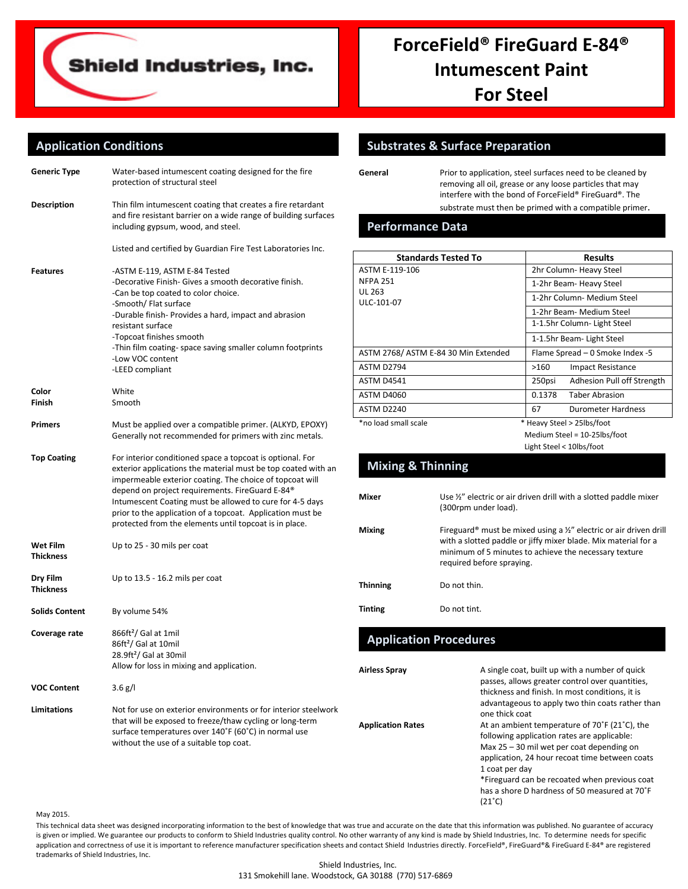

# **ForceField® FireGuard E-84® Intumescent Paint For Steel**

# **Application Conditions**

| Generic Type                        | Water-based intumescent coating designed for the fire<br>protection of structural steel                                                                                                                                                                                                                                                                                                                                                   |
|-------------------------------------|-------------------------------------------------------------------------------------------------------------------------------------------------------------------------------------------------------------------------------------------------------------------------------------------------------------------------------------------------------------------------------------------------------------------------------------------|
| <b>Description</b>                  | Thin film intumescent coating that creates a fire retardant<br>and fire resistant barrier on a wide range of building surfaces<br>including gypsum, wood, and steel.                                                                                                                                                                                                                                                                      |
|                                     | Listed and certified by Guardian Fire Test Laboratories Inc.                                                                                                                                                                                                                                                                                                                                                                              |
| Features                            | -ASTM E-119, ASTM E-84 Tested<br>-Decorative Finish- Gives a smooth decorative finish.<br>-Can be top coated to color choice.<br>-Smooth/ Flat surface<br>-Durable finish- Provides a hard, impact and abrasion<br>resistant surface<br>-Topcoat finishes smooth<br>-Thin film coating-space saving smaller column footprints<br>-Low VOC content<br>-LEED compliant                                                                      |
| Color                               | White                                                                                                                                                                                                                                                                                                                                                                                                                                     |
| Finish                              | Smooth                                                                                                                                                                                                                                                                                                                                                                                                                                    |
| Primers                             | Must be applied over a compatible primer. (ALKYD, EPOXY)<br>Generally not recommended for primers with zinc metals.                                                                                                                                                                                                                                                                                                                       |
| <b>Top Coating</b>                  | For interior conditioned space a topcoat is optional. For<br>exterior applications the material must be top coated with an<br>impermeable exterior coating. The choice of topcoat will<br>depend on project requirements. FireGuard E-84 <sup>®</sup><br>Intumescent Coating must be allowed to cure for 4-5 days<br>prior to the application of a topcoat. Application must be<br>protected from the elements until topcoat is in place. |
| <b>Wet Film</b><br><b>Thickness</b> | Up to 25 - 30 mils per coat                                                                                                                                                                                                                                                                                                                                                                                                               |
| Dry Film<br><b>Thickness</b>        | Up to 13.5 - 16.2 mils per coat                                                                                                                                                                                                                                                                                                                                                                                                           |
| <b>Solids Content</b>               | By volume 54%                                                                                                                                                                                                                                                                                                                                                                                                                             |
| Coverage rate                       | $866ft^2$ Gal at 1mil<br>86ft <sup>2</sup> / Gal at 10mil<br>28.9ft <sup>2</sup> / Gal at 30mil<br>Allow for loss in mixing and application                                                                                                                                                                                                                                                                                               |
| <b>VOC Content</b>                  | $3.6$ g/l                                                                                                                                                                                                                                                                                                                                                                                                                                 |
| <b>Limitations</b>                  | Not for use on exterior environments or for interior steelwork<br>that will be exposed to freeze/thaw cycling or long-term<br>surface temperatures over 140°F (60°C) in normal use<br>without the use of a suitable top coat.                                                                                                                                                                                                             |

#### **Substrates & Surface Preparation**

General **General** Prior to application, steel surfaces need to be cleaned by removing all oil, grease or any loose particles that may interfere with the bond of ForceField® FireGuard®. The substrate must then be primed with a compatible primer.

#### **Performance Data**

|                                     | <b>Standards Tested To</b>                                                                                                                                                                                                 |        | <b>Results</b>                                                    |
|-------------------------------------|----------------------------------------------------------------------------------------------------------------------------------------------------------------------------------------------------------------------------|--------|-------------------------------------------------------------------|
| ASTM E-119-106                      |                                                                                                                                                                                                                            |        | 2hr Column- Heavy Steel                                           |
| <b>NFPA 251</b>                     |                                                                                                                                                                                                                            |        |                                                                   |
| UL 263                              |                                                                                                                                                                                                                            |        | 1-2hr Beam- Heavy Steel                                           |
| ULC-101-07                          |                                                                                                                                                                                                                            |        | 1-2hr Column- Medium Steel                                        |
|                                     |                                                                                                                                                                                                                            |        | 1-2hr Beam- Medium Steel                                          |
|                                     |                                                                                                                                                                                                                            |        | 1-1.5hr Column- Light Steel                                       |
|                                     |                                                                                                                                                                                                                            |        | 1-1.5hr Beam- Light Steel                                         |
| ASTM 2768/ASTM E-84 30 Min Extended |                                                                                                                                                                                                                            |        | Flame Spread - 0 Smoke Index -5                                   |
| <b>ASTM D2794</b>                   |                                                                                                                                                                                                                            | >160   | <b>Impact Resistance</b>                                          |
| <b>ASTM D4541</b>                   |                                                                                                                                                                                                                            | 250psi | Adhesion Pull off Strength                                        |
| <b>ASTM D4060</b>                   |                                                                                                                                                                                                                            | 0.1378 | <b>Taber Abrasion</b>                                             |
| <b>ASTM D2240</b>                   |                                                                                                                                                                                                                            | 67     | <b>Durometer Hardness</b>                                         |
| *no load small scale                |                                                                                                                                                                                                                            |        | * Heavy Steel > 25lbs/foot                                        |
|                                     |                                                                                                                                                                                                                            |        | Medium Steel = 10-25lbs/foot                                      |
|                                     |                                                                                                                                                                                                                            |        | Light Steel < 10lbs/foot                                          |
| <b>Mixing &amp; Thinning</b>        |                                                                                                                                                                                                                            |        |                                                                   |
| Mixer                               | (300rpm under load).                                                                                                                                                                                                       |        | Use 1/2" electric or air driven drill with a slotted paddle mixer |
| <b>Mixing</b>                       | Fireguard® must be mixed using a 1/2" electric or air driven drill<br>with a slotted paddle or jiffy mixer blade. Mix material for a<br>minimum of 5 minutes to achieve the necessary texture<br>required before spraying. |        |                                                                   |
| <b>Thinning</b>                     | Do not thin.                                                                                                                                                                                                               |        |                                                                   |
| <b>Tinting</b>                      | Do not tint.                                                                                                                                                                                                               |        |                                                                   |

# **Application Procedures**

| Airless Spray            | A single coat, built up with a number of quick<br>passes, allows greater control over quantities,<br>thickness and finish. In most conditions, it is<br>advantageous to apply two thin coats rather than<br>one thick coat                                                                                                         |
|--------------------------|------------------------------------------------------------------------------------------------------------------------------------------------------------------------------------------------------------------------------------------------------------------------------------------------------------------------------------|
| <b>Application Rates</b> | At an ambient temperature of 70°F (21°C), the<br>following application rates are applicable:<br>Max 25 - 30 mil wet per coat depending on<br>application, 24 hour recoat time between coats<br>1 coat per day<br>*Fireguard can be recoated when previous coat<br>has a shore D hardness of 50 measured at 70°F<br>$(21^{\circ}C)$ |

#### May 2015.

This technical data sheet was designed incorporating information to the best of knowledge that was true and accurate on the date that this information was published. No guarantee of accuracy is given or implied. We guarantee our products to conform to Shield Industries quality control. No other warranty of any kind is made by Shield Industries, Inc. To determine needs for specific application and correctness of use it is important to reference manufacturer specification sheets and contact Shield Industries directly. ForceField®, FireGuard®& FireGuard E-84® are registered trademarks of Shield Industries, Inc.